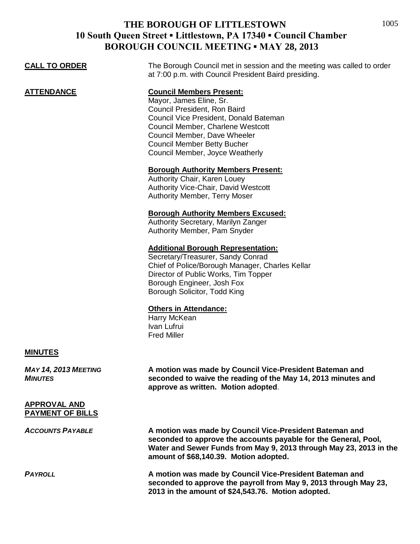| <b>CALL TO ORDER</b>                           | The Borough Council met in session and the meeting was called to order<br>at 7:00 p.m. with Council President Baird presiding.                                                                                                                                                     |
|------------------------------------------------|------------------------------------------------------------------------------------------------------------------------------------------------------------------------------------------------------------------------------------------------------------------------------------|
| <b>ATTENDANCE</b>                              | <b>Council Members Present:</b><br>Mayor, James Eline, Sr.<br>Council President, Ron Baird<br>Council Vice President, Donald Bateman<br>Council Member, Charlene Westcott<br>Council Member, Dave Wheeler<br><b>Council Member Betty Bucher</b><br>Council Member, Joyce Weatherly |
|                                                | <b>Borough Authority Members Present:</b><br>Authority Chair, Karen Louey<br><b>Authority Vice-Chair, David Westcott</b><br>Authority Member, Terry Moser                                                                                                                          |
|                                                | <b>Borough Authority Members Excused:</b><br>Authority Secretary, Marilyn Zanger<br>Authority Member, Pam Snyder                                                                                                                                                                   |
|                                                | <b>Additional Borough Representation:</b><br>Secretary/Treasurer, Sandy Conrad<br>Chief of Police/Borough Manager, Charles Kellar<br>Director of Public Works, Tim Topper<br>Borough Engineer, Josh Fox<br>Borough Solicitor, Todd King                                            |
|                                                | <b>Others in Attendance:</b><br>Harry McKean<br>Ivan Lufrui<br><b>Fred Miller</b>                                                                                                                                                                                                  |
| <b>MINUTES</b>                                 |                                                                                                                                                                                                                                                                                    |
| <b>MAY 14, 2013 MEETING</b><br><b>MINUTES</b>  | A motion was made by Council Vice-President Bateman and<br>seconded to waive the reading of the May 14, 2013 minutes and<br>approve as written. Motion adopted.                                                                                                                    |
| <b>APPROVAL AND</b><br><b>PAYMENT OF BILLS</b> |                                                                                                                                                                                                                                                                                    |
| <b>ACCOUNTS PAYABLE</b>                        | A motion was made by Council Vice-President Bateman and<br>seconded to approve the accounts payable for the General, Pool,<br>Water and Sewer Funds from May 9, 2013 through May 23, 2013 in the<br>amount of \$68,140.39. Motion adopted.                                         |
| <b>PAYROLL</b>                                 | A motion was made by Council Vice-President Bateman and<br>seconded to approve the payroll from May 9, 2013 through May 23,<br>2013 in the amount of \$24,543.76. Motion adopted.                                                                                                  |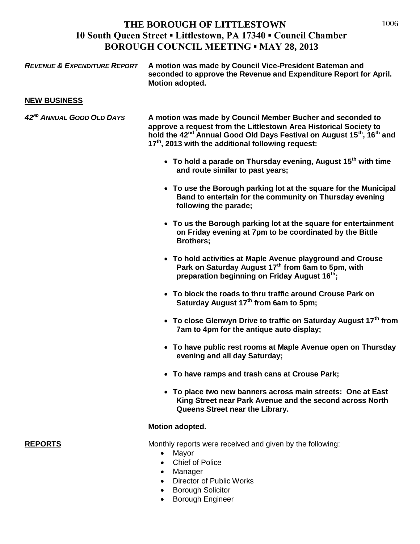1006

| <b>REVENUE &amp; EXPENDITURE REPORT</b> | A motion was made by Council Vice-President Bateman and<br>seconded to approve the Revenue and Expenditure Report for April.<br>Motion adopted.                                                                                                                                                                |
|-----------------------------------------|----------------------------------------------------------------------------------------------------------------------------------------------------------------------------------------------------------------------------------------------------------------------------------------------------------------|
| <b>NEW BUSINESS</b>                     |                                                                                                                                                                                                                                                                                                                |
| 42 <sup>ND</sup> ANNUAL GOOD OLD DAYS   | A motion was made by Council Member Bucher and seconded to<br>approve a request from the Littlestown Area Historical Society to<br>hold the 42 <sup>nd</sup> Annual Good Old Days Festival on August 15 <sup>th</sup> , 16 <sup>th</sup> and<br>17 <sup>th</sup> , 2013 with the additional following request: |
|                                         | • To hold a parade on Thursday evening, August 15 <sup>th</sup> with time<br>and route similar to past years;                                                                                                                                                                                                  |
|                                         | • To use the Borough parking lot at the square for the Municipal<br>Band to entertain for the community on Thursday evening<br>following the parade;                                                                                                                                                           |
|                                         | • To us the Borough parking lot at the square for entertainment<br>on Friday evening at 7pm to be coordinated by the Bittle<br><b>Brothers:</b>                                                                                                                                                                |
|                                         | • To hold activities at Maple Avenue playground and Crouse<br>Park on Saturday August 17 <sup>th</sup> from 6am to 5pm, with<br>preparation beginning on Friday August 16 <sup>th</sup> ;                                                                                                                      |
|                                         | • To block the roads to thru traffic around Crouse Park on<br>Saturday August 17 <sup>th</sup> from 6am to 5pm;                                                                                                                                                                                                |
|                                         | • To close Glenwyn Drive to traffic on Saturday August $17th$ from<br>7am to 4pm for the antique auto display;                                                                                                                                                                                                 |
|                                         | • To have public rest rooms at Maple Avenue open on Thursday<br>evening and all day Saturday;                                                                                                                                                                                                                  |
|                                         | • To have ramps and trash cans at Crouse Park;                                                                                                                                                                                                                                                                 |
|                                         | • To place two new banners across main streets: One at East<br>King Street near Park Avenue and the second across North<br>Queens Street near the Library.                                                                                                                                                     |
|                                         | <b>Motion adopted.</b>                                                                                                                                                                                                                                                                                         |
| <b>REPORTS</b>                          | Monthly reports were received and given by the following:<br>Mayor<br>$\bullet$<br><b>Chief of Police</b><br>Manager<br>Diroctor of Dublic Warks                                                                                                                                                               |

- Director of Public Works
- **•** Borough Solicitor
- Borough Engineer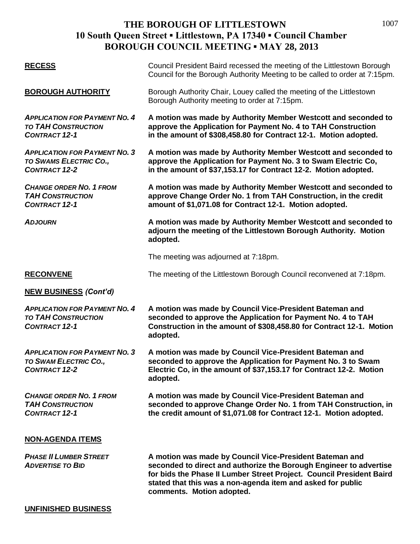| <b>RECESS</b>                                                                              | Council President Baird recessed the meeting of the Littlestown Borough<br>Council for the Borough Authority Meeting to be called to order at 7:15pm.                                                                                                                                             |
|--------------------------------------------------------------------------------------------|---------------------------------------------------------------------------------------------------------------------------------------------------------------------------------------------------------------------------------------------------------------------------------------------------|
| <b>BOROUGH AUTHORITY</b>                                                                   | Borough Authority Chair, Louey called the meeting of the Littlestown<br>Borough Authority meeting to order at 7:15pm.                                                                                                                                                                             |
| <b>APPLICATION FOR PAYMENT NO. 4</b><br><b>TO TAH CONSTRUCTION</b><br><b>CONTRACT 12-1</b> | A motion was made by Authority Member Westcott and seconded to<br>approve the Application for Payment No. 4 to TAH Construction<br>in the amount of \$308,458.80 for Contract 12-1. Motion adopted.                                                                                               |
| <b>APPLICATION FOR PAYMENT NO. 3</b><br>TO SWAMS ELECTRIC CO.,<br><b>CONTRACT 12-2</b>     | A motion was made by Authority Member Westcott and seconded to<br>approve the Application for Payment No. 3 to Swam Electric Co,<br>in the amount of \$37,153.17 for Contract 12-2. Motion adopted.                                                                                               |
| <b>CHANGE ORDER NO. 1 FROM</b><br><b>TAH CONSTRUCTION</b><br><b>CONTRACT 12-1</b>          | A motion was made by Authority Member Westcott and seconded to<br>approve Change Order No. 1 from TAH Construction, in the credit<br>amount of \$1,071.08 for Contract 12-1. Motion adopted.                                                                                                      |
| <b>ADJOURN</b>                                                                             | A motion was made by Authority Member Westcott and seconded to<br>adjourn the meeting of the Littlestown Borough Authority. Motion<br>adopted.                                                                                                                                                    |
|                                                                                            | The meeting was adjourned at 7:18pm.                                                                                                                                                                                                                                                              |
| <b>RECONVENE</b>                                                                           | The meeting of the Littlestown Borough Council reconvened at 7:18pm.                                                                                                                                                                                                                              |
| <b>NEW BUSINESS (Cont'd)</b>                                                               |                                                                                                                                                                                                                                                                                                   |
| <b>APPLICATION FOR PAYMENT NO. 4</b><br><b>TO TAH CONSTRUCTION</b><br><b>CONTRACT 12-1</b> | A motion was made by Council Vice-President Bateman and<br>seconded to approve the Application for Payment No. 4 to TAH<br>Construction in the amount of \$308,458.80 for Contract 12-1. Motion<br>adopted.                                                                                       |
| <b>APPLICATION FOR PAYMENT NO. 3</b><br>TO SWAM ELECTRIC CO.,<br><b>CONTRACT 12-2</b>      | A motion was made by Council Vice-President Bateman and<br>seconded to approve the Application for Payment No. 3 to Swam<br>Electric Co, in the amount of \$37,153.17 for Contract 12-2. Motion<br>adopted.                                                                                       |
| <b>CHANGE ORDER NO. 1 FROM</b><br><b>TAH CONSTRUCTION</b><br><b>CONTRACT 12-1</b>          | A motion was made by Council Vice-President Bateman and<br>seconded to approve Change Order No. 1 from TAH Construction, in<br>the credit amount of \$1,071.08 for Contract 12-1. Motion adopted.                                                                                                 |
| <b>NON-AGENDA ITEMS</b>                                                                    |                                                                                                                                                                                                                                                                                                   |
| <b>PHASE II LUMBER STREET</b><br><b>ADVERTISE TO BID</b>                                   | A motion was made by Council Vice-President Bateman and<br>seconded to direct and authorize the Borough Engineer to advertise<br>for bids the Phase II Lumber Street Project. Council President Baird<br>stated that this was a non-agenda item and asked for public<br>comments. Motion adopted. |
| <b>UNFINISHED BUSINESS</b>                                                                 |                                                                                                                                                                                                                                                                                                   |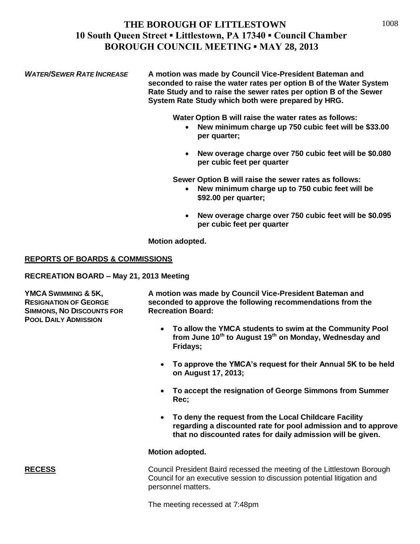*WATER/SEWER RATE INCREASE* **A motion was made by Council Vice-President Bateman and seconded to raise the water rates per option B of the Water System Rate Study and to raise the sewer rates per option B of the Sewer System Rate Study which both were prepared by HRG.** 

**Water Option B will raise the water rates as follows:**

- **New minimum charge up 750 cubic feet will be \$33.00 per quarter;**
- **New overage charge over 750 cubic feet will be \$0.080 per cubic feet per quarter**

**Sewer Option B will raise the sewer rates as follows:**

- **New minimum charge up to 750 cubic feet will be \$92.00 per quarter;**
- **New overage charge over 750 cubic feet will be \$0.095 per cubic feet per quarter**

**Motion adopted.**

### **REPORTS OF BOARDS & COMMISSIONS**

**RECREATION BOARD – May 21, 2013 Meeting**

**SIMMONS, NO DISCOUNTS FOR Recreation Board: POOL DAILY ADMISSION**

**YMCA SWIMMING & 5K, A motion was made by Council Vice-President Bateman and RESIGNATION OF GEORGE seconded to approve the following recommendations from the**

- **To allow the YMCA students to swim at the Community Pool from June 10th to August 19th on Monday, Wednesday and Fridays;**
- **To approve the YMCA's request for their Annual 5K to be held on August 17, 2013;**
- **To accept the resignation of George Simmons from Summer Rec;**
- **To deny the request from the Local Childcare Facility regarding a discounted rate for pool admission and to approve that no discounted rates for daily admission will be given.**

#### **Motion adopted.**

**RECESS** Council President Baird recessed the meeting of the Littlestown Borough Council for an executive session to discussion potential litigation and personnel matters.

The meeting recessed at 7:48pm